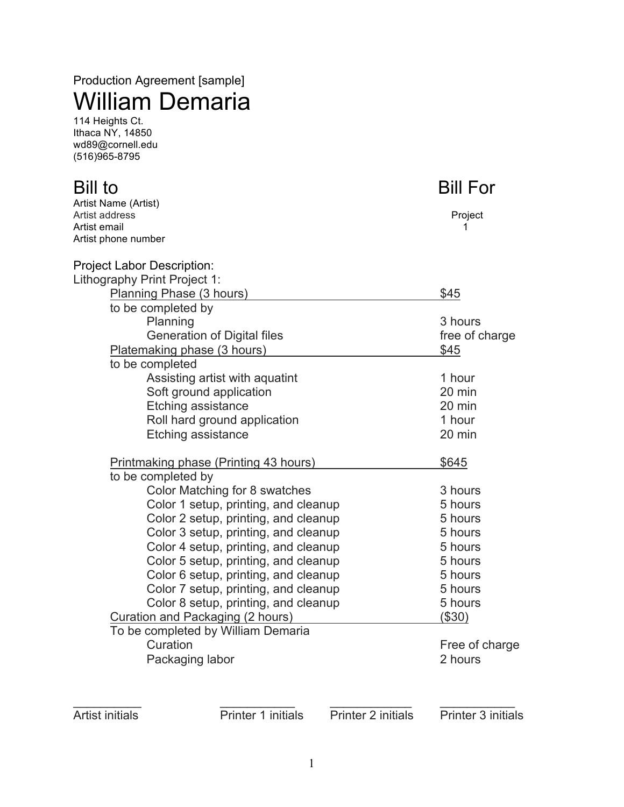# Production Agreement [sample] William Demaria

114 Heights Ct. Ithaca NY, 14850 wd89@cornell.edu (516)965-8795

## **Bill to a set of the Bill Formula** Bill For Artist Name (Artist) Artist address **Project Project Project Project Project Project Project** Artist email 1 Artist phone number Project Labor Description: Lithography Print Project 1: Planning Phase (3 hours) \$45 to be completed by Planning 3 hours Generation of Digital files free of charge Platemaking phase (3 hours)  $$45$ to be completed Assisting artist with aquatint 1 hour Soft ground application 20 min Etching assistance 20 min Roll hard ground application 1 hour Etching assistance 20 min Printmaking phase (Printing 43 hours)  $$645$ to be completed by Color Matching for 8 swatches 3 hours Color 1 setup, printing, and cleanup 5 hours Color 2 setup, printing, and cleanup 5 hours Color 3 setup, printing, and cleanup 5 hours Color 4 setup, printing, and cleanup 5 hours Color 5 setup, printing, and cleanup 5 hours Color 6 setup, printing, and cleanup 5 hours Color 7 setup, printing, and cleanup 5 hours Color 8 setup, printing, and cleanup 5 hours Curation and Packaging (2 hours) (\$30) To be completed by William Demaria Curation **Free of charge** Packaging labor 2 hours \_\_\_\_\_\_\_\_\_\_ \_\_\_\_\_\_\_\_\_\_\_ \_\_\_\_\_\_\_\_\_\_\_\_ \_\_\_\_\_\_\_\_\_\_\_

Artist initials Printer 1 initials Printer 2 initials Printer 3 initials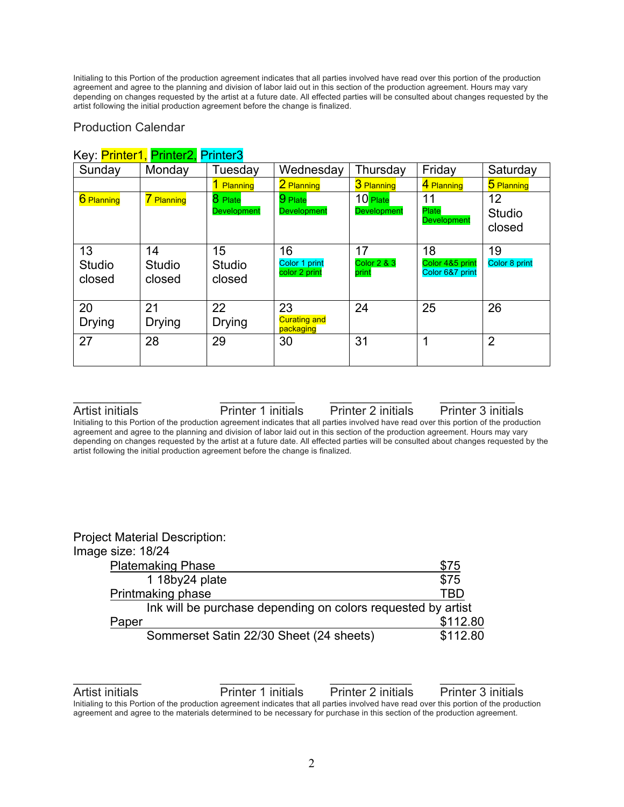Initialing to this Portion of the production agreement indicates that all parties involved have read over this portion of the production agreement and agree to the planning and division of labor laid out in this section of the production agreement. Hours may vary depending on changes requested by the artist at a future date. All effected parties will be consulted about changes requested by the artist following the initial production agreement before the change is finalized.

#### Production Calendar

| ו <i>י</i> סע. <mark>ו וווויכו ו, ו וווויכו ב, ו</mark><br>Sunday | Monday                        | Tuesday                       | Wednesday                              | Thursday                              | Friday                                   | Saturday                      |
|-------------------------------------------------------------------|-------------------------------|-------------------------------|----------------------------------------|---------------------------------------|------------------------------------------|-------------------------------|
|                                                                   |                               | 1 Planning                    | 2 Planning                             | 3 Planning                            | 4 Planning                               | 5 Planning                    |
| 6 Planning                                                        | 7 Planning                    | 8 Plate<br><b>Development</b> | $9$ Plate<br><b>Development</b>        | 10 Plate<br><b>Development</b>        | 11<br>Plate<br><b>Development</b>        | 12<br><b>Studio</b><br>closed |
| 13<br><b>Studio</b><br>closed                                     | 14<br><b>Studio</b><br>closed | 15<br><b>Studio</b><br>closed | 16<br>Color 1 print<br>color 2 print   | 17<br><b>Color 2 &amp; 3</b><br>print | 18<br>Color 4&5 print<br>Color 6&7 print | 19<br>Color 8 print           |
| 20<br><b>Drying</b>                                               | 21<br><b>Drying</b>           | 22<br><b>Drying</b>           | 23<br><b>Curating and</b><br>packaging | 24                                    | 25                                       | 26                            |
| 27                                                                | 28                            | 29                            | 30                                     | 31                                    | 1                                        | $\overline{2}$                |

## Key: Printer1, Printer2, Printer3

Artist initials Printer 1 initials Printer 2 initials Printer 3 initials

Initialing to this Portion of the production agreement indicates that all parties involved have read over this portion of the production agreement and agree to the planning and division of labor laid out in this section of the production agreement. Hours may vary depending on changes requested by the artist at a future date. All effected parties will be consulted about changes requested by the artist following the initial production agreement before the change is finalized.

 $\overline{\phantom{a}}$  , and the contribution of  $\overline{\phantom{a}}$  , and  $\overline{\phantom{a}}$  , and  $\overline{\phantom{a}}$  , and  $\overline{\phantom{a}}$  , and  $\overline{\phantom{a}}$ 

| <b>Project Material Description:</b>                         |          |
|--------------------------------------------------------------|----------|
| Image size: 18/24                                            |          |
| <b>Platemaking Phase</b>                                     | \$75     |
| 1 18by24 plate                                               | \$75     |
| Printmaking phase                                            | TBD      |
| Ink will be purchase depending on colors requested by artist |          |
| Paper                                                        | \$112.80 |
| Sommerset Satin 22/30 Sheet (24 sheets)                      | \$112.80 |

Artist initials Printer 1 initials Printer 2 initials Printer 3 initials Initialing to this Portion of the production agreement indicates that all parties involved have read over this portion of the production agreement and agree to the materials determined to be necessary for purchase in this section of the production agreement.

 $\overline{\phantom{a}}$  , and the contribution of  $\overline{\phantom{a}}$  , and  $\overline{\phantom{a}}$  , and  $\overline{\phantom{a}}$  , and  $\overline{\phantom{a}}$  , and  $\overline{\phantom{a}}$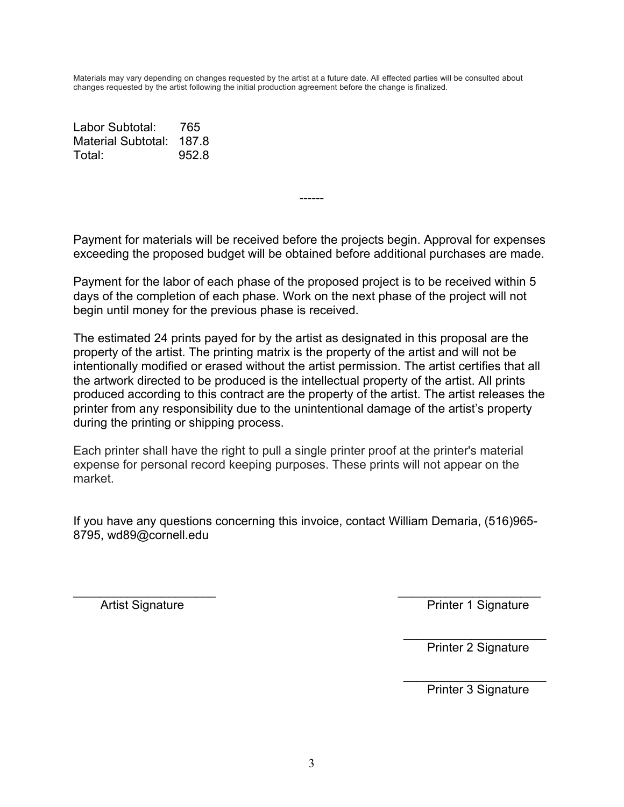Materials may vary depending on changes requested by the artist at a future date. All effected parties will be consulted about changes requested by the artist following the initial production agreement before the change is finalized.

Labor Subtotal: 765 Material Subtotal: 187.8 Total: 952.8

Payment for materials will be received before the projects begin. Approval for expenses exceeding the proposed budget will be obtained before additional purchases are made.

------

Payment for the labor of each phase of the proposed project is to be received within 5 days of the completion of each phase. Work on the next phase of the project will not begin until money for the previous phase is received.

The estimated 24 prints payed for by the artist as designated in this proposal are the property of the artist. The printing matrix is the property of the artist and will not be intentionally modified or erased without the artist permission. The artist certifies that all the artwork directed to be produced is the intellectual property of the artist. All prints produced according to this contract are the property of the artist. The artist releases the printer from any responsibility due to the unintentional damage of the artist's property during the printing or shipping process.

Each printer shall have the right to pull a single printer proof at the printer's material expense for personal record keeping purposes. These prints will not appear on the market.

If you have any questions concerning this invoice, contact William Demaria, (516)965- 8795, wd89@cornell.edu

 $\overline{\phantom{a}}$  , and the contract of the contract of the contract of the contract of the contract of the contract of the contract of the contract of the contract of the contract of the contract of the contract of the contrac Artist Signature **Printer 1 Signature** Printer 1 Signature

> $\overline{\phantom{a}}$  , which is a set of the set of the set of the set of the set of the set of the set of the set of the set of the set of the set of the set of the set of the set of the set of the set of the set of the set of th Printer 2 Signature

> $\overline{\phantom{a}}$  , which is a set of the set of the set of the set of the set of the set of the set of the set of the set of the set of the set of the set of the set of the set of the set of the set of the set of the set of th Printer 3 Signature